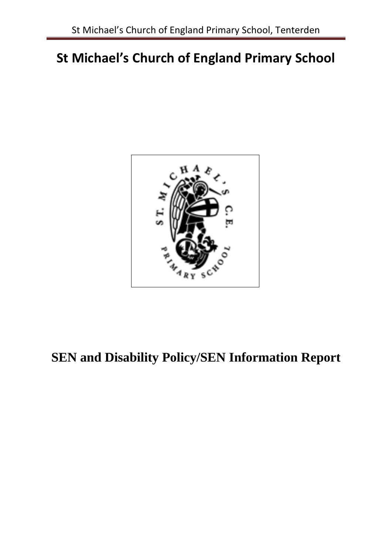# **St Michael's Church of England Primary School**



# **SEN and Disability Policy/SEN Information Report**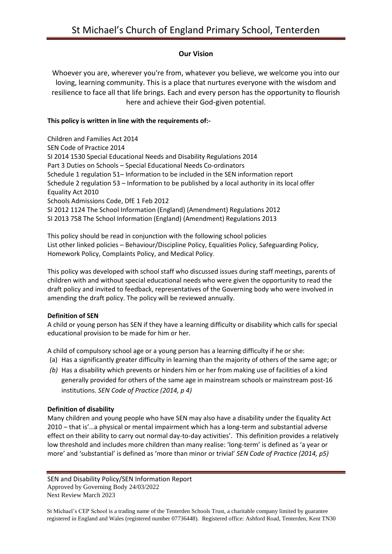### **Our Vision**

Whoever you are, wherever you're from, whatever you believe, we welcome you into our loving, learning community. This is a place that nurtures everyone with the wisdom and resilience to face all that life brings. Each and every person has the opportunity to flourish here and achieve their God-given potential.

#### **This policy is written in line with the requirements of:-**

Children and Families Act 2014 SEN Code of Practice 2014 SI 2014 1530 Special Educational Needs and Disability Regulations 2014 Part 3 Duties on Schools – Special Educational Needs Co-ordinators Schedule 1 regulation 51– Information to be included in the SEN information report Schedule 2 regulation 53 – Information to be published by a local authority in its local offer Equality Act 2010 Schools Admissions Code, DfE 1 Feb 2012 SI 2012 1124 The School Information (England) (Amendment) Regulations 2012 SI 2013 758 The School Information (England) (Amendment) Regulations 2013

This policy should be read in conjunction with the following school policies List other linked policies – Behaviour/Discipline Policy, Equalities Policy, Safeguarding Policy, Homework Policy, Complaints Policy, and Medical Policy.

This policy was developed with school staff who discussed issues during staff meetings, parents of children with and without special educational needs who were given the opportunity to read the draft policy and invited to feedback, representatives of the Governing body who were involved in amending the draft policy. The policy will be reviewed annually.

#### **Definition of SEN**

A child or young person has SEN if they have a learning difficulty or disability which calls for special educational provision to be made for him or her.

A child of compulsory school age or a young person has a learning difficulty if he or she:

- (a) Has a significantly greater difficulty in learning than the majority of others of the same age; or
- *(b)* Has a disability which prevents or hinders him or her from making use of facilities of a kind generally provided for others of the same age in mainstream schools or mainstream post-16 institutions. *SEN Code of Practice (2014, p 4)*

#### **Definition of disability**

Many children and young people who have SEN may also have a disability under the Equality Act 2010 – that is'…a physical or mental impairment which has a long-term and substantial adverse effect on their ability to carry out normal day-to-day activities'. This definition provides a relatively low threshold and includes more children than many realise: 'long-term' is defined as 'a year or more' and 'substantial' is defined as 'more than minor or trivial' *SEN Code of Practice (2014, p5)*

SEN and Disability Policy/SEN Information Report Approved by Governing Body 24/03/2022 Next Review March 2023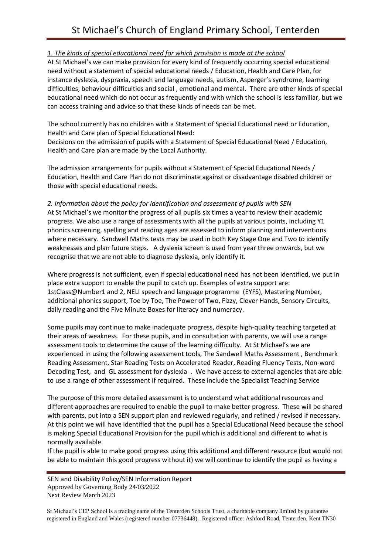### *1. The kinds of special educational need for which provision is made at the school*

At St Michael's we can make provision for every kind of frequently occurring special educational need without a statement of special educational needs / Education, Health and Care Plan, for instance dyslexia, dyspraxia, speech and language needs, autism, Asperger's syndrome, learning difficulties, behaviour difficulties and social , emotional and mental. There are other kinds of special educational need which do not occur as frequently and with which the school is less familiar, but we can access training and advice so that these kinds of needs can be met.

The school currently has no children with a Statement of Special Educational need or Education, Health and Care plan of Special Educational Need:

Decisions on the admission of pupils with a Statement of Special Educational Need / Education, Health and Care plan are made by the Local Authority.

The admission arrangements for pupils without a Statement of Special Educational Needs / Education, Health and Care Plan do not discriminate against or disadvantage disabled children or those with special educational needs.

#### *2. Information about the policy for identification and assessment of pupils with SEN*

At St Michael's we monitor the progress of all pupils six times a year to review their academic progress. We also use a range of assessments with all the pupils at various points, including Y1 phonics screening, spelling and reading ages are assessed to inform planning and interventions where necessary. Sandwell Maths tests may be used in both Key Stage One and Two to identify weaknesses and plan future steps. A dyslexia screen is used from year three onwards, but we recognise that we are not able to diagnose dyslexia, only identify it.

Where progress is not sufficient, even if special educational need has not been identified, we put in place extra support to enable the pupil to catch up. Examples of extra support are: 1stClass@Number1 and 2, NELI speech and language programme (EYFS), Mastering Number, additional phonics support, Toe by Toe, The Power of Two, Fizzy, Clever Hands, Sensory Circuits, daily reading and the Five Minute Boxes for literacy and numeracy.

Some pupils may continue to make inadequate progress, despite high-quality teaching targeted at their areas of weakness. For these pupils, and in consultation with parents, we will use a range assessment tools to determine the cause of the learning difficulty. At St Michael's we are experienced in using the following assessment tools, The Sandwell Maths Assessment , Benchmark Reading Assessment, Star Reading Tests on Accelerated Reader, Reading Fluency Tests, Non-word Decoding Test, and GL assessment for dyslexia . We have access to external agencies that are able to use a range of other assessment if required. These include the Specialist Teaching Service

The purpose of this more detailed assessment is to understand what additional resources and different approaches are required to enable the pupil to make better progress. These will be shared with parents, put into a SEN support plan and reviewed regularly, and refined / revised if necessary. At this point we will have identified that the pupil has a Special Educational Need because the school is making Special Educational Provision for the pupil which is additional and different to what is normally available.

If the pupil is able to make good progress using this additional and different resource (but would not be able to maintain this good progress without it) we will continue to identify the pupil as having a

SEN and Disability Policy/SEN Information Report Approved by Governing Body 24/03/2022 Next Review March 2023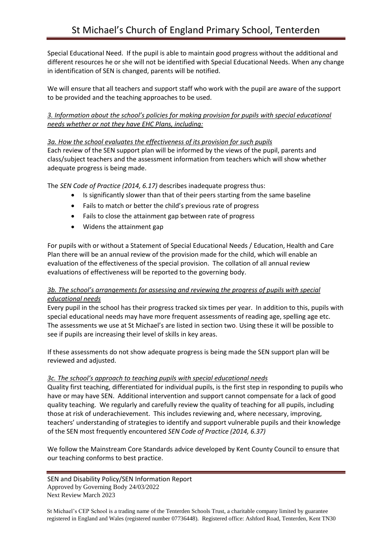Special Educational Need. If the pupil is able to maintain good progress without the additional and different resources he or she will not be identified with Special Educational Needs. When any change in identification of SEN is changed, parents will be notified.

We will ensure that all teachers and support staff who work with the pupil are aware of the support to be provided and the teaching approaches to be used.

*3. Information about the school's policies for making provision for pupils with special educational needs whether or not they have EHC Plans, including:*

#### *3a. How the school evaluates the effectiveness of its provision for such pupils*

Each review of the SEN support plan will be informed by the views of the pupil, parents and class/subject teachers and the assessment information from teachers which will show whether adequate progress is being made.

The *SEN Code of Practice (2014, 6.17)* describes inadequate progress thus:

- Is significantly slower than that of their peers starting from the same baseline
- Fails to match or better the child's previous rate of progress
- Fails to close the attainment gap between rate of progress
- Widens the attainment gap

For pupils with or without a Statement of Special Educational Needs / Education, Health and Care Plan there will be an annual review of the provision made for the child, which will enable an evaluation of the effectiveness of the special provision. The collation of all annual review evaluations of effectiveness will be reported to the governing body.

### *3b. The school's arrangements for assessing and reviewing the progress of pupils with special educational needs*

Every pupil in the school has their progress tracked six times per year. In addition to this, pupils with special educational needs may have more frequent assessments of reading age, spelling age etc. The assessments we use at St Michael's are listed in section two. Using these it will be possible to see if pupils are increasing their level of skills in key areas.

If these assessments do not show adequate progress is being made the SEN support plan will be reviewed and adjusted.

#### *3c. The school's approach to teaching pupils with special educational needs*

Quality first teaching, differentiated for individual pupils, is the first step in responding to pupils who have or may have SEN. Additional intervention and support cannot compensate for a lack of good quality teaching. We regularly and carefully review the quality of teaching for all pupils, including those at risk of underachievement. This includes reviewing and, where necessary, improving, teachers' understanding of strategies to identify and support vulnerable pupils and their knowledge of the SEN most frequently encountered *SEN Code of Practice (2014, 6.37)*

We follow the Mainstream Core Standards advice developed by Kent County Council to ensure that our teaching conforms to best practice.

SEN and Disability Policy/SEN Information Report Approved by Governing Body 24/03/2022 Next Review March 2023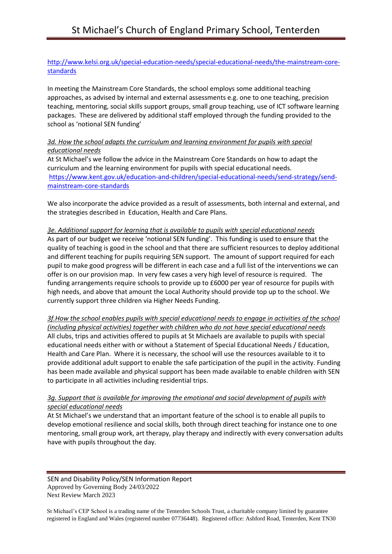#### [http://www.kelsi.org.uk/special-education-needs/special-educational-needs/the-mainstream-core](http://www.kelsi.org.uk/special-education-needs/special-educational-needs/the-mainstream-core-standards)[standards](http://www.kelsi.org.uk/special-education-needs/special-educational-needs/the-mainstream-core-standards)

In meeting the Mainstream Core Standards, the school employs some additional teaching approaches, as advised by internal and external assessments e.g. one to one teaching, precision teaching, mentoring, social skills support groups, small group teaching, use of ICT software learning packages. These are delivered by additional staff employed through the funding provided to the school as 'notional SEN funding'

#### *3d. How the school adapts the curriculum and learning environment for pupils with special educational needs*

At St Michael's we follow the advice in the Mainstream Core Standards on how to adapt the curriculum and the learning environment for pupils with special educational needs. [https://www.kent.gov.uk/education-and-children/special-educational-needs/send-strategy/send](https://www.kent.gov.uk/education-and-children/special-educational-needs/send-strategy/send-mainstream-core-standards)[mainstream-core-standards](https://www.kent.gov.uk/education-and-children/special-educational-needs/send-strategy/send-mainstream-core-standards)

We also incorporate the advice provided as a result of assessments, both internal and external, and the strategies described in Education, Health and Care Plans.

#### *3e. Additional support for learning that is available to pupils with special educational needs*

As part of our budget we receive 'notional SEN funding'. This funding is used to ensure that the quality of teaching is good in the school and that there are sufficient resources to deploy additional and different teaching for pupils requiring SEN support. The amount of support required for each pupil to make good progress will be different in each case and a full list of the interventions we can offer is on our provision map. In very few cases a very high level of resource is required. The funding arrangements require schools to provide up to £6000 per year of resource for pupils with high needs, and above that amount the Local Authority should provide top up to the school. We currently support three children via Higher Needs Funding.

*3f.How the school enables pupils with special educational needs to engage in activities of the school (including physical activities) together with children who do not have special educational needs*  All clubs, trips and activities offered to pupils at St Michaels are available to pupils with special educational needs either with or without a Statement of Special Educational Needs / Education, Health and Care Plan. Where it is necessary, the school will use the resources available to it to provide additional adult support to enable the safe participation of the pupil in the activity. Funding has been made available and physical support has been made available to enable children with SEN to participate in all activities including residential trips.

#### *3g. Support that is available for improving the emotional and social development of pupils with special educational needs*

At St Michael's we understand that an important feature of the school is to enable all pupils to develop emotional resilience and social skills, both through direct teaching for instance one to one mentoring, small group work, art therapy, play therapy and indirectly with every conversation adults have with pupils throughout the day.

SEN and Disability Policy/SEN Information Report Approved by Governing Body 24/03/2022 Next Review March 2023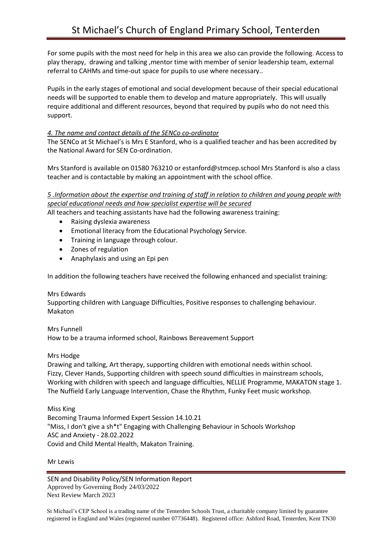For some pupils with the most need for help in this area we also can provide the following. Access to play therapy, drawing and talking ,mentor time with member of senior leadership team, external referral to CAHMs and time-out space for pupils to use where necessary..

Pupils in the early stages of emotional and social development because of their special educational needs will be supported to enable them to develop and mature appropriately. This will usually require additional and different resources, beyond that required by pupils who do not need this support.

#### *4. The name and contact details of the SENCo co-ordinator*

The SENCo at St Michael's is Mrs E Stanford, who is a qualified teacher and has been accredited by the National Award for SEN Co-ordination.

Mrs Stanford is available on 01580 763210 or estanford@stmcep.school Mrs Stanford is also a class teacher and is contactable by making an appointment with the school office.

## *5 .Information about the expertise and training of staff in relation to children and young people with special educational needs and how specialist expertise will be secured*

All teachers and teaching assistants have had the following awareness training:

- Raising dyslexia awareness
- Emotional literacy from the Educational Psychology Service.
- Training in language through colour.
- Zones of regulation
- Anaphylaxis and using an Epi pen

In addition the following teachers have received the following enhanced and specialist training:

#### Mrs Edwards

Supporting children with Language Difficulties, Positive responses to challenging behaviour. Makaton

#### Mrs Funnell

How to be a trauma informed school, Rainbows Bereavement Support

#### Mrs Hodge

Drawing and talking, Art therapy, supporting children with emotional needs within school. Fizzy, Clever Hands, Supporting children with speech sound difficulties in mainstream schools, Working with children with speech and language difficulties, NELLIE Programme, MAKATON stage 1. The Nuffield Early Language Intervention, Chase the Rhythm, Funky Feet music workshop.

#### Miss King

Becoming Trauma Informed Expert Session 14.10.21 "Miss, I don't give a sh\*t" Engaging with Challenging Behaviour in Schools Workshop ASC and Anxiety - 28.02.2022 Covid and Child Mental Health, Makaton Training.

#### Mr Lewis

SEN and Disability Policy/SEN Information Report Approved by Governing Body 24/03/2022 Next Review March 2023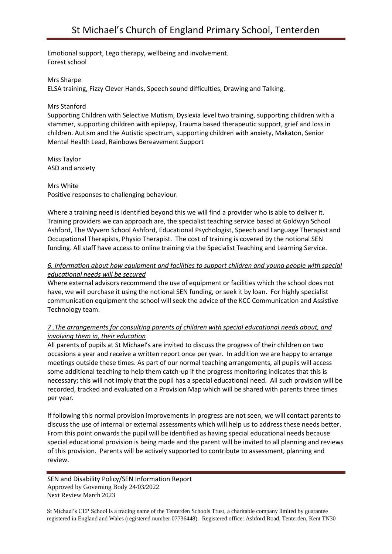Emotional support, Lego therapy, wellbeing and involvement. Forest school

Mrs Sharpe

ELSA training, Fizzy Clever Hands, Speech sound difficulties, Drawing and Talking.

#### Mrs Stanford

Supporting Children with Selective Mutism, Dyslexia level two training, supporting children with a stammer, supporting children with epilepsy, Trauma based therapeutic support, grief and loss in children. Autism and the Autistic spectrum, supporting children with anxiety, Makaton, Senior Mental Health Lead, Rainbows Bereavement Support

Miss Taylor ASD and anxiety

Mrs White Positive responses to challenging behaviour.

Where a training need is identified beyond this we will find a provider who is able to deliver it. Training providers we can approach are, the specialist teaching service based at Goldwyn School Ashford, The Wyvern School Ashford, Educational Psychologist, Speech and Language Therapist and Occupational Therapists, Physio Therapist. The cost of training is covered by the notional SEN funding. All staff have access to online training via the Specialist Teaching and Learning Service.

### *6. Information about how equipment and facilities to support children and young people with special educational needs will be secured*

Where external advisors recommend the use of equipment or facilities which the school does not have, we will purchase it using the notional SEN funding, or seek it by loan. For highly specialist communication equipment the school will seek the advice of the KCC Communication and Assistive Technology team.

#### *7 .The arrangements for consulting parents of children with special educational needs about, and involving them in, their education*

All parents of pupils at St Michael's are invited to discuss the progress of their children on two occasions a year and receive a written report once per year. In addition we are happy to arrange meetings outside these times. As part of our normal teaching arrangements, all pupils will access some additional teaching to help them catch-up if the progress monitoring indicates that this is necessary; this will not imply that the pupil has a special educational need. All such provision will be recorded, tracked and evaluated on a Provision Map which will be shared with parents three times per year.

If following this normal provision improvements in progress are not seen, we will contact parents to discuss the use of internal or external assessments which will help us to address these needs better. From this point onwards the pupil will be identified as having special educational needs because special educational provision is being made and the parent will be invited to all planning and reviews of this provision. Parents will be actively supported to contribute to assessment, planning and review.

SEN and Disability Policy/SEN Information Report Approved by Governing Body 24/03/2022 Next Review March 2023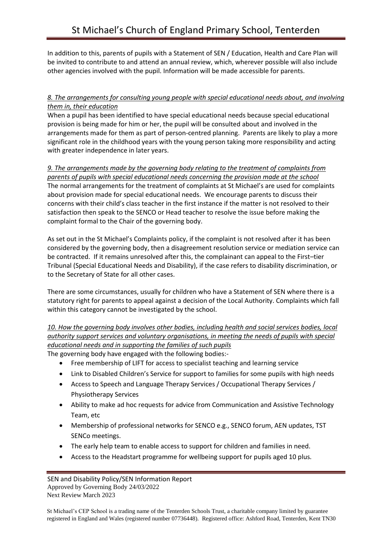In addition to this, parents of pupils with a Statement of SEN / Education, Health and Care Plan will be invited to contribute to and attend an annual review, which, wherever possible will also include other agencies involved with the pupil. Information will be made accessible for parents.

#### *8. The arrangements for consulting young people with special educational needs about, and involving them in, their education*

When a pupil has been identified to have special educational needs because special educational provision is being made for him or her, the pupil will be consulted about and involved in the arrangements made for them as part of person-centred planning. Parents are likely to play a more significant role in the childhood years with the young person taking more responsibility and acting with greater independence in later years.

*9. The arrangements made by the governing body relating to the treatment of complaints from parents of pupils with special educational needs concerning the provision made at the school* The normal arrangements for the treatment of complaints at St Michael's are used for complaints about provision made for special educational needs. We encourage parents to discuss their concerns with their child's class teacher in the first instance if the matter is not resolved to their satisfaction then speak to the SENCO or Head teacher to resolve the issue before making the complaint formal to the Chair of the governing body.

As set out in the St Michael's Complaints policy, if the complaint is not resolved after it has been considered by the governing body, then a disagreement resolution service or mediation service can be contracted. If it remains unresolved after this, the complainant can appeal to the First–tier Tribunal (Special Educational Needs and Disability), if the case refers to disability discrimination, or to the Secretary of State for all other cases.

There are some circumstances, usually for children who have a Statement of SEN where there is a statutory right for parents to appeal against a decision of the Local Authority. Complaints which fall within this category cannot be investigated by the school.

*10. How the governing body involves other bodies, including health and social services bodies, local authority support services and voluntary organisations, in meeting the needs of pupils with special educational needs and in supporting the families of such pupils*

The governing body have engaged with the following bodies:-

- Free membership of LIFT for access to specialist teaching and learning service
- Link to Disabled Children's Service for support to families for some pupils with high needs
- Access to Speech and Language Therapy Services / Occupational Therapy Services / Physiotherapy Services
- Ability to make ad hoc requests for advice from Communication and Assistive Technology Team, etc
- Membership of professional networks for SENCO e.g., SENCO forum, AEN updates, TST SENCo meetings.
- The early help team to enable access to support for children and families in need.
- Access to the Headstart programme for wellbeing support for pupils aged 10 plus.

SEN and Disability Policy/SEN Information Report Approved by Governing Body 24/03/2022 Next Review March 2023